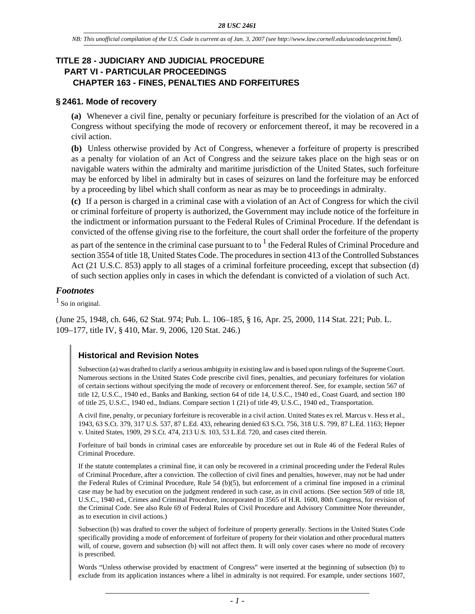# **TITLE 28 - JUDICIARY AND JUDICIAL PROCEDURE PART VI - PARTICULAR PROCEEDINGS CHAPTER 163 - FINES, PENALTIES AND FORFEITURES**

### **§ 2461. Mode of recovery**

**(a)** Whenever a civil fine, penalty or pecuniary forfeiture is prescribed for the violation of an Act of Congress without specifying the mode of recovery or enforcement thereof, it may be recovered in a civil action.

**(b)** Unless otherwise provided by Act of Congress, whenever a forfeiture of property is prescribed as a penalty for violation of an Act of Congress and the seizure takes place on the high seas or on navigable waters within the admiralty and maritime jurisdiction of the United States, such forfeiture may be enforced by libel in admiralty but in cases of seizures on land the forfeiture may be enforced by a proceeding by libel which shall conform as near as may be to proceedings in admiralty.

**(c)** If a person is charged in a criminal case with a violation of an Act of Congress for which the civil or criminal forfeiture of property is authorized, the Government may include notice of the forfeiture in the indictment or information pursuant to the Federal Rules of Criminal Procedure. If the defendant is convicted of the offense giving rise to the forfeiture, the court shall order the forfeiture of the property

as part of the sentence in the criminal case pursuant to to  $^1$  the Federal Rules of Criminal Procedure and section 3554 of title 18, United States Code. The procedures in section 413 of the Controlled Substances Act (21 U.S.C. 853) apply to all stages of a criminal forfeiture proceeding, except that subsection (d) of such section applies only in cases in which the defendant is convicted of a violation of such Act.

### *Footnotes*

 $<sup>1</sup>$  So in original.</sup>

(June 25, 1948, ch. 646, 62 Stat. 974; Pub. L. 106–185, § 16, Apr. 25, 2000, 114 Stat. 221; Pub. L. 109–177, title IV, § 410, Mar. 9, 2006, 120 Stat. 246.)

# **Historical and Revision Notes**

Subsection (a) was drafted to clarify a serious ambiguity in existing law and is based upon rulings of the Supreme Court. Numerous sections in the United States Code prescribe civil fines, penalties, and pecuniary forfeitures for violation of certain sections without specifying the mode of recovery or enforcement thereof. See, for example, section 567 of title 12, U.S.C., 1940 ed., Banks and Banking, section 64 of title 14, U.S.C., 1940 ed., Coast Guard, and section 180 of title 25, U.S.C., 1940 ed., Indians. Compare section 1 (21) of title 49, U.S.C., 1940 ed., Transportation.

A civil fine, penalty, or pecuniary forfeiture is recoverable in a civil action. United States ex rel. Marcus v. Hess et al., 1943, 63 S.Ct. 379, 317 U.S. 537, 87 L.Ed. 433, rehearing denied 63 S.Ct. 756, 318 U.S. 799, 87 L.Ed. 1163; Hepner v. United States, 1909, 29 S.Ct. 474, 213 U.S. 103, 53 L.Ed. 720, and cases cited therein.

Forfeiture of bail bonds in criminal cases are enforceable by procedure set out in Rule 46 of the Federal Rules of Criminal Procedure.

If the statute contemplates a criminal fine, it can only be recovered in a criminal proceeding under the Federal Rules of Criminal Procedure, after a conviction. The collection of civil fines and penalties, however, may not be had under the Federal Rules of Criminal Procedure, Rule 54 (b)(5), but enforcement of a criminal fine imposed in a criminal case may be had by execution on the judgment rendered in such case, as in civil actions. (See section 569 of title 18, U.S.C., 1940 ed., Crimes and Criminal Procedure, incorporated in 3565 of H.R. 1600, 80th Congress, for revision of the Criminal Code. See also Rule 69 of Federal Rules of Civil Procedure and Advisory Committee Note thereunder, as to execution in civil actions.)

Subsection (b) was drafted to cover the subject of forfeiture of property generally. Sections in the United States Code specifically providing a mode of enforcement of forfeiture of property for their violation and other procedural matters will, of course, govern and subsection (b) will not affect them. It will only cover cases where no mode of recovery is prescribed.

Words "Unless otherwise provided by enactment of Congress" were inserted at the beginning of subsection (b) to exclude from its application instances where a libel in admiralty is not required. For example, under sections 1607,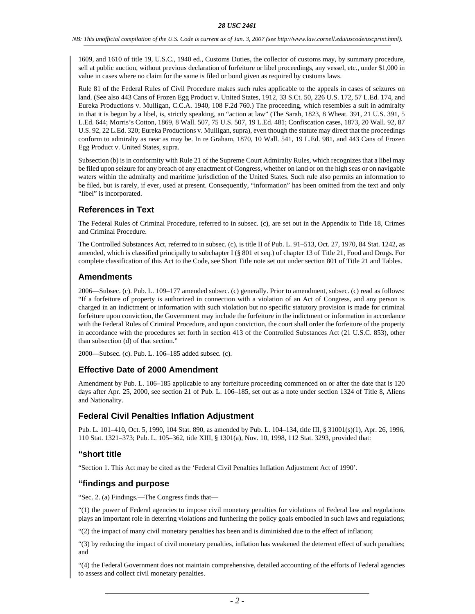*NB: This unofficial compilation of the U.S. Code is current as of Jan. 3, 2007 (see http://www.law.cornell.edu/uscode/uscprint.html).*

1609, and 1610 of title 19, U.S.C., 1940 ed., Customs Duties, the collector of customs may, by summary procedure, sell at public auction, without previous declaration of forfeiture or libel proceedings, any vessel, etc., under \$1,000 in value in cases where no claim for the same is filed or bond given as required by customs laws.

Rule 81 of the Federal Rules of Civil Procedure makes such rules applicable to the appeals in cases of seizures on land. (See also 443 Cans of Frozen Egg Product v. United States, 1912, 33 S.Ct. 50, 226 U.S. 172, 57 L.Ed. 174, and Eureka Productions v. Mulligan, C.C.A. 1940, 108 F.2d 760.) The proceeding, which resembles a suit in admiralty in that it is begun by a libel, is, strictly speaking, an "action at law" (The Sarah, 1823, 8 Wheat. 391, 21 U.S. 391, 5 L.Ed. 644; Morris's Cotton, 1869, 8 Wall. 507, 75 U.S. 507, 19 L.Ed. 481; Confiscation cases, 1873, 20 Wall. 92, 87 U.S. 92, 22 L.Ed. 320; Eureka Productions v. Mulligan, supra), even though the statute may direct that the proceedings conform to admiralty as near as may be. In re Graham, 1870, 10 Wall. 541, 19 L.Ed. 981, and 443 Cans of Frozen Egg Product v. United States, supra.

Subsection (b) is in conformity with Rule 21 of the Supreme Court Admiralty Rules, which recognizes that a libel may be filed upon seizure for any breach of any enactment of Congress, whether on land or on the high seas or on navigable waters within the admiralty and maritime jurisdiction of the United States. Such rule also permits an information to be filed, but is rarely, if ever, used at present. Consequently, "information" has been omitted from the text and only "libel" is incorporated.

# **References in Text**

The Federal Rules of Criminal Procedure, referred to in subsec. (c), are set out in the Appendix to Title 18, Crimes and Criminal Procedure.

The Controlled Substances Act, referred to in subsec. (c), is title II of Pub. L. 91–513, Oct. 27, 1970, 84 Stat. 1242, as amended, which is classified principally to subchapter I (§ 801 et seq.) of chapter 13 of Title 21, Food and Drugs. For complete classification of this Act to the Code, see Short Title note set out under section 801 of Title 21 and Tables.

## **Amendments**

2006—Subsec. (c). Pub. L. 109–177 amended subsec. (c) generally. Prior to amendment, subsec. (c) read as follows: "If a forfeiture of property is authorized in connection with a violation of an Act of Congress, and any person is charged in an indictment or information with such violation but no specific statutory provision is made for criminal forfeiture upon conviction, the Government may include the forfeiture in the indictment or information in accordance with the Federal Rules of Criminal Procedure, and upon conviction, the court shall order the forfeiture of the property in accordance with the procedures set forth in section 413 of the Controlled Substances Act (21 U.S.C. 853), other than subsection (d) of that section."

2000—Subsec. (c). Pub. L. 106–185 added subsec. (c).

## **Effective Date of 2000 Amendment**

Amendment by Pub. L. 106–185 applicable to any forfeiture proceeding commenced on or after the date that is 120 days after Apr. 25, 2000, see section 21 of Pub. L. 106-185, set out as a note under section 1324 of Title 8, Aliens and Nationality.

## **Federal Civil Penalties Inflation Adjustment**

Pub. L. 101–410, Oct. 5, 1990, 104 Stat. 890, as amended by Pub. L. 104–134, title III, § 31001(s)(1), Apr. 26, 1996, 110 Stat. 1321–373; Pub. L. 105–362, title XIII, § 1301(a), Nov. 10, 1998, 112 Stat. 3293, provided that:

## **"short title**

"Section 1. This Act may be cited as the 'Federal Civil Penalties Inflation Adjustment Act of 1990'.

### **"findings and purpose**

"Sec. 2. (a) Findings.—The Congress finds that—

"(1) the power of Federal agencies to impose civil monetary penalties for violations of Federal law and regulations plays an important role in deterring violations and furthering the policy goals embodied in such laws and regulations;

"(2) the impact of many civil monetary penalties has been and is diminished due to the effect of inflation;

"(3) by reducing the impact of civil monetary penalties, inflation has weakened the deterrent effect of such penalties; and

"(4) the Federal Government does not maintain comprehensive, detailed accounting of the efforts of Federal agencies to assess and collect civil monetary penalties.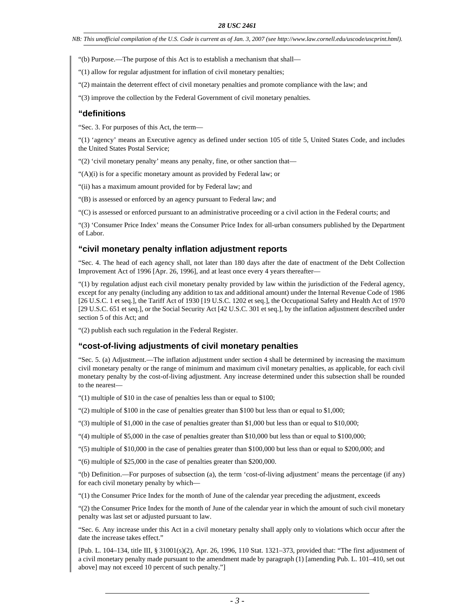*NB: This unofficial compilation of the U.S. Code is current as of Jan. 3, 2007 (see http://www.law.cornell.edu/uscode/uscprint.html).*

- "(b) Purpose.—The purpose of this Act is to establish a mechanism that shall—
- "(1) allow for regular adjustment for inflation of civil monetary penalties;
- "(2) maintain the deterrent effect of civil monetary penalties and promote compliance with the law; and
- "(3) improve the collection by the Federal Government of civil monetary penalties.

## **"definitions**

"Sec. 3. For purposes of this Act, the term—

"(1) 'agency' means an Executive agency as defined under section 105 of title 5, United States Code, and includes the United States Postal Service;

"(2) 'civil monetary penalty' means any penalty, fine, or other sanction that—

"(A)(i) is for a specific monetary amount as provided by Federal law; or

"(ii) has a maximum amount provided for by Federal law; and

"(B) is assessed or enforced by an agency pursuant to Federal law; and

"(C) is assessed or enforced pursuant to an administrative proceeding or a civil action in the Federal courts; and

"(3) 'Consumer Price Index' means the Consumer Price Index for all-urban consumers published by the Department of Labor.

## **"civil monetary penalty inflation adjustment reports**

"Sec. 4. The head of each agency shall, not later than 180 days after the date of enactment of the Debt Collection Improvement Act of 1996 [Apr. 26, 1996], and at least once every 4 years thereafter—

"(1) by regulation adjust each civil monetary penalty provided by law within the jurisdiction of the Federal agency, except for any penalty (including any addition to tax and additional amount) under the Internal Revenue Code of 1986 [26 U.S.C. 1 et seq.], the Tariff Act of 1930 [19 U.S.C. 1202 et seq.], the Occupational Safety and Health Act of 1970 [29 U.S.C. 651 et seq.], or the Social Security Act [42 U.S.C. 301 et seq.], by the inflation adjustment described under section 5 of this Act; and

"(2) publish each such regulation in the Federal Register.

### **"cost-of-living adjustments of civil monetary penalties**

"Sec. 5. (a) Adjustment.—The inflation adjustment under section 4 shall be determined by increasing the maximum civil monetary penalty or the range of minimum and maximum civil monetary penalties, as applicable, for each civil monetary penalty by the cost-of-living adjustment. Any increase determined under this subsection shall be rounded to the nearest—

"(1) multiple of \$10 in the case of penalties less than or equal to \$100;

"(2) multiple of \$100 in the case of penalties greater than \$100 but less than or equal to \$1,000;

"(3) multiple of \$1,000 in the case of penalties greater than \$1,000 but less than or equal to \$10,000;

"(4) multiple of \$5,000 in the case of penalties greater than \$10,000 but less than or equal to \$100,000;

"(5) multiple of \$10,000 in the case of penalties greater than \$100,000 but less than or equal to \$200,000; and

"(6) multiple of \$25,000 in the case of penalties greater than \$200,000.

"(b) Definition.—For purposes of subsection (a), the term 'cost-of-living adjustment' means the percentage (if any) for each civil monetary penalty by which—

"(1) the Consumer Price Index for the month of June of the calendar year preceding the adjustment, exceeds

"(2) the Consumer Price Index for the month of June of the calendar year in which the amount of such civil monetary penalty was last set or adjusted pursuant to law.

"Sec. 6. Any increase under this Act in a civil monetary penalty shall apply only to violations which occur after the date the increase takes effect."

[Pub. L. 104–134, title III, § 31001(s)(2), Apr. 26, 1996, 110 Stat. 1321–373, provided that: "The first adjustment of a civil monetary penalty made pursuant to the amendment made by paragraph (1) [amending Pub. L. 101–410, set out above] may not exceed 10 percent of such penalty."]